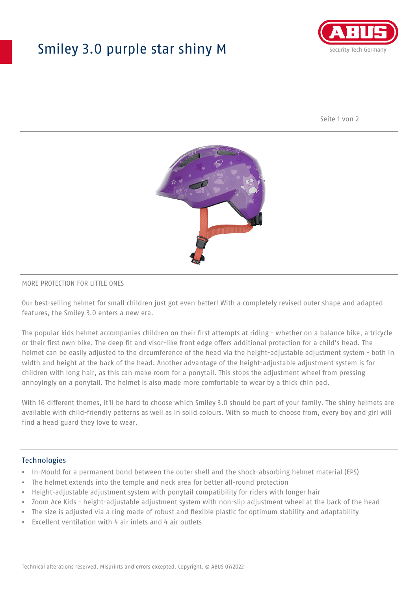## Smiley 3.0 purple star shiny M



Seite 1 von 2



#### MORE PROTECTION FOR LITTLE ONES

Our best-selling helmet for small children just got even better! With a completely revised outer shape and adapted features, the Smiley 3.0 enters a new era.

The popular kids helmet accompanies children on their first attempts at riding - whether on a balance bike, a tricycle or their first own bike. The deep fit and visor-like front edge offers additional protection for a child's head. The helmet can be easily adjusted to the circumference of the head via the height-adjustable adjustment system - both in width and height at the back of the head. Another advantage of the height-adjustable adjustment system is for children with long hair, as this can make room for a ponytail. This stops the adjustment wheel from pressing annoyingly on a ponytail. The helmet is also made more comfortable to wear by a thick chin pad.

With 16 different themes, it'll be hard to choose which Smiley 3.0 should be part of your family. The shiny helmets are available with child-friendly patterns as well as in solid colours. With so much to choose from, every boy and girl will find a head guard they love to wear.

#### Technologies

- In-Mould for a permanent bond between the outer shell and the shock-absorbing helmet material (EPS)
- The helmet extends into the temple and neck area for better all-round protection
- Height-adjustable adjustment system with ponytail compatibility for riders with longer hair
- Zoom Ace Kids height-adjustable adjustment system with non-slip adjustment wheel at the back of the head
- The size is adjusted via a ring made of robust and flexible plastic for optimum stability and adaptability
- Excellent ventilation with 4 air inlets and 4 air outlets